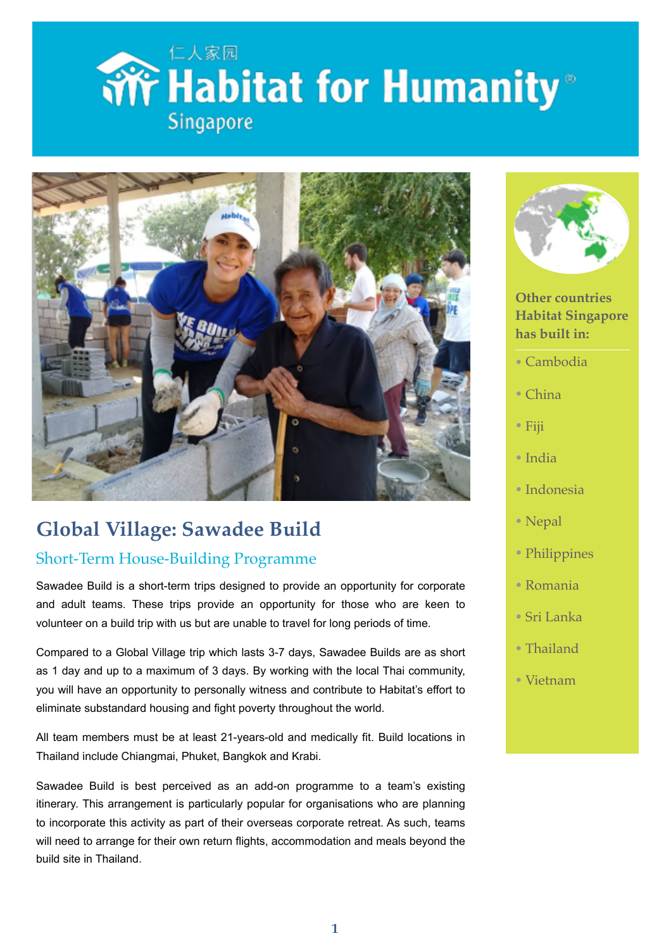



## **Global Village: Sawadee Build**

### Short-Term House-Building Programme

Sawadee Build is a short-term trips designed to provide an opportunity for corporate and adult teams. These trips provide an opportunity for those who are keen to volunteer on a build trip with us but are unable to travel for long periods of time.

Compared to a Global Village trip which lasts 3-7 days, Sawadee Builds are as short as 1 day and up to a maximum of 3 days. By working with the local Thai community, you will have an opportunity to personally witness and contribute to Habitat's effort to eliminate substandard housing and fight poverty throughout the world.

All team members must be at least 21-years-old and medically fit. Build locations in Thailand include Chiangmai, Phuket, Bangkok and Krabi.

Sawadee Build is best perceived as an add-on programme to a team's existing itinerary. This arrangement is particularly popular for organisations who are planning to incorporate this activity as part of their overseas corporate retreat. As such, teams will need to arrange for their own return flights, accommodation and meals beyond the build site in Thailand.



**Other countries Habitat Singapore has built in:**

• Cambodia

- China
- Fiji
- India
- Indonesia
- Nepal
- Philippines
- Romania
- Sri Lanka
- Thailand
- Vietnam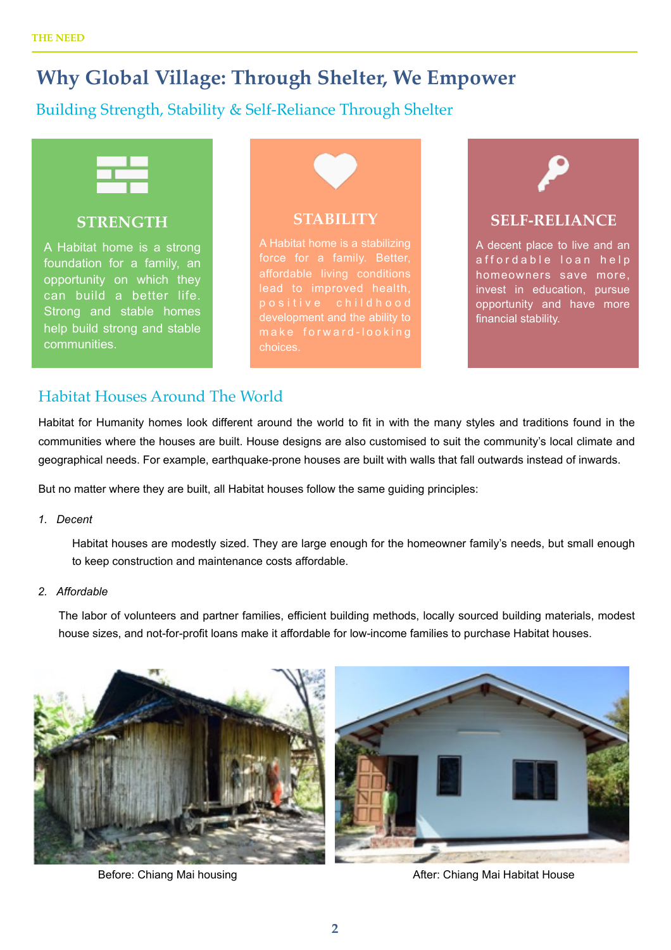### **Why Global Village: Through Shelter, We Empower**

### Building Strength, Stability & Self-Reliance Through Shelter



#### **STRENGTH**

A Habitat home is a strong foundation for a family, an opportunity on which they can build a better life. Strong and stable homes help build strong and stable communities.



A Habitat home is a stabilizing affordable living conditions p o s i t i v e c h i l d h o o d development and the ability to choices.



### **SELF-RELIANCE**

A decent place to live and an affordable loan help homeowners save more, invest in education, pursue opportunity and have more financial stability.

### Habitat Houses Around The World

Habitat for Humanity homes look different around the world to fit in with the many styles and traditions found in the communities where the houses are built. House designs are also customised to suit the community's local climate and geographical needs. For example, earthquake-prone houses are built with walls that fall outwards instead of inwards.

But no matter where they are built, all Habitat houses follow the same guiding principles:

*1. Decent* 

Habitat houses are modestly sized. They are large enough for the homeowner family's needs, but small enough to keep construction and maintenance costs affordable.

#### *2. Affordable*

The labor of volunteers and partner families, efficient building methods, locally sourced building materials, modest house sizes, and not-for-profit loans make it affordable for low-income families to purchase Habitat houses.



Before: Chiang Mai housing **After: Chiang Mai Habitat House** After: Chiang Mai Habitat House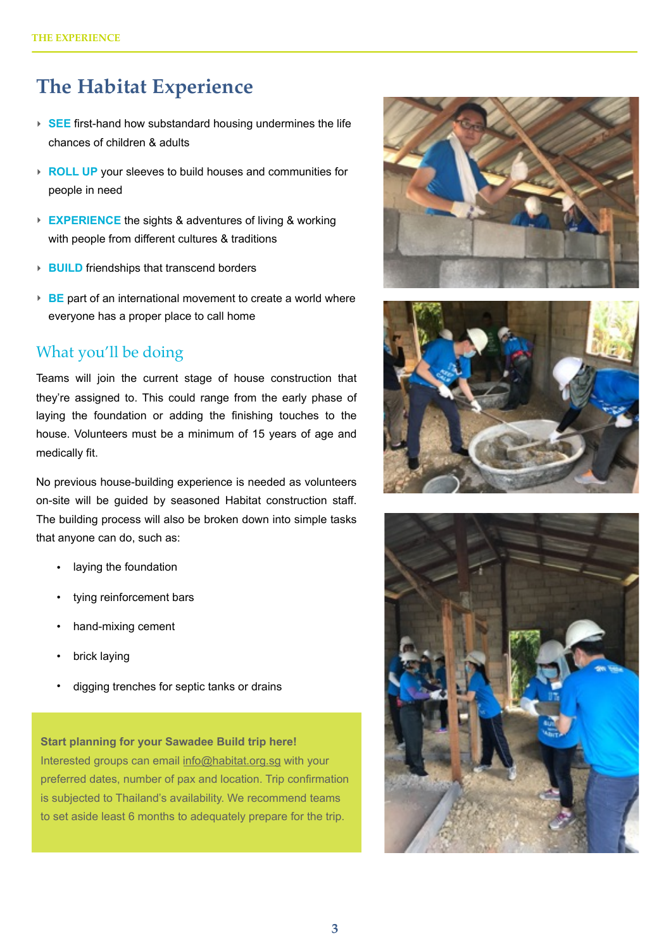## **The Habitat Experience**

- ‣ **SEE** first-hand how substandard housing undermines the life chances of children & adults
- ‣ **ROLL UP** your sleeves to build houses and communities for people in need
- ‣ **EXPERIENCE** the sights & adventures of living & working with people from different cultures & traditions
- ‣ **BUILD** friendships that transcend borders
- **► BE** part of an international movement to create a world where everyone has a proper place to call home

### What you'll be doing

Teams will join the current stage of house construction that they're assigned to. This could range from the early phase of laying the foundation or adding the finishing touches to the house. Volunteers must be a minimum of 15 years of age and medically fit.

No previous house-building experience is needed as volunteers on-site will be guided by seasoned Habitat construction staff. The building process will also be broken down into simple tasks that anyone can do, such as:

- laying the foundation
- tying reinforcement bars
- hand-mixing cement
- brick laying
- digging trenches for septic tanks or drains

**Start planning for your Sawadee Build trip here!**  Interested groups can email [info@habitat.org.sg](mailto:info@habitat.org.sg) with your preferred dates, number of pax and location. Trip confirmation is subjected to Thailand's availability. We recommend teams to set aside least 6 months to adequately prepare for the trip.





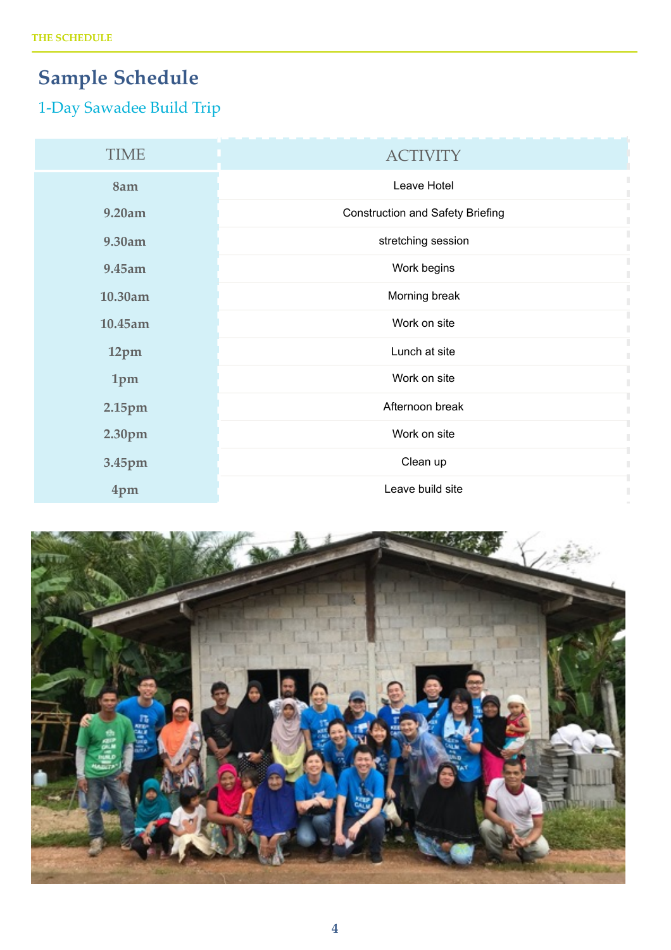# **Sample Schedule**

## 1-Day Sawadee Build Trip

| <b>TIME</b> | <b>ACTIVITY</b>                         |
|-------------|-----------------------------------------|
| 8am         | Leave Hotel                             |
| 9.20am      | <b>Construction and Safety Briefing</b> |
| 9.30am      | stretching session                      |
| 9.45am      | Work begins                             |
| 10.30am     | Morning break                           |
| 10.45am     | Work on site                            |
| 12pm        | Lunch at site                           |
| 1pm         | Work on site                            |
| 2.15pm      | Afternoon break                         |
| 2.30pm      | Work on site                            |
| 3.45pm      | Clean up                                |
| 4pm         | Leave build site                        |

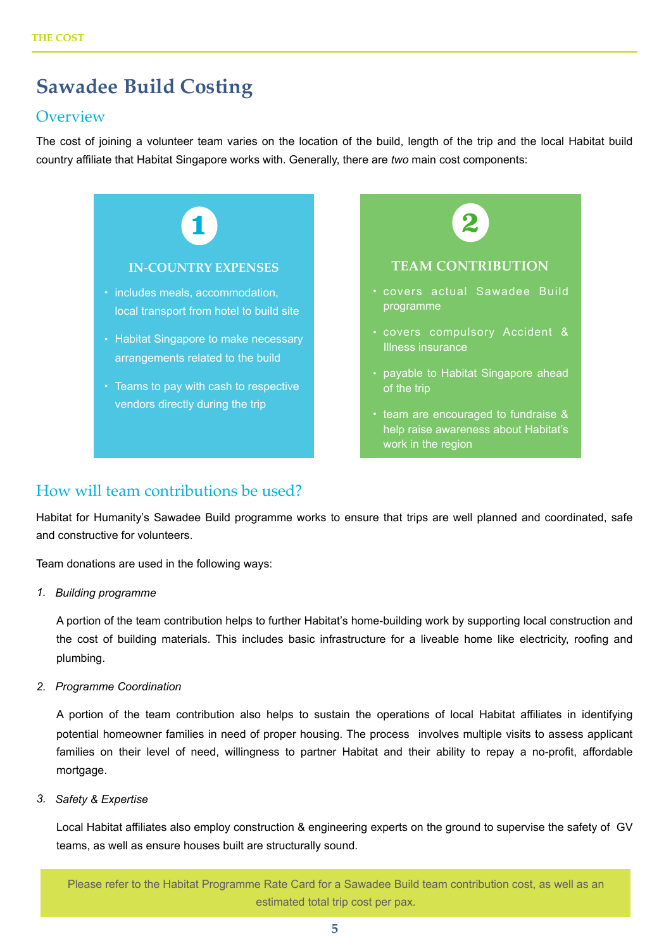## **Sawadee Build Costing**

### **Overview**

The cost of joining a volunteer team varies on the location of the build, length of the trip and the local Habitat build country affiliate that Habitat Singapore works with. Generally, there are *two* main cost components:



### How will team contributions be used?

Habitat for Humanity's Sawadee Build programme works to ensure that trips are well planned and coordinated, safe and constructive for volunteers.

Team donations are used in the following ways:

*1. Building programme*

A portion of the team contribution helps to further Habitat's home-building work by supporting local construction and the cost of building materials. This includes basic infrastructure for a liveable home like electricity, roofing and plumbing.

*2. Programme Coordination*

A portion of the team contribution also helps to sustain the operations of local Habitat affiliates in identifying potential homeowner families in need of proper housing. The process involves multiple visits to assess applicant families on their level of need, willingness to partner Habitat and their ability to repay a no-profit, affordable mortgage.

*3. Safety & Expertise* 

Local Habitat affiliates also employ construction & engineering experts on the ground to supervise the safety of GV teams, as well as ensure houses built are structurally sound.

Please refer to the Habitat Programme Rate Card for a Sawadee Build team contribution cost, as well as an estimated total trip cost per pax.